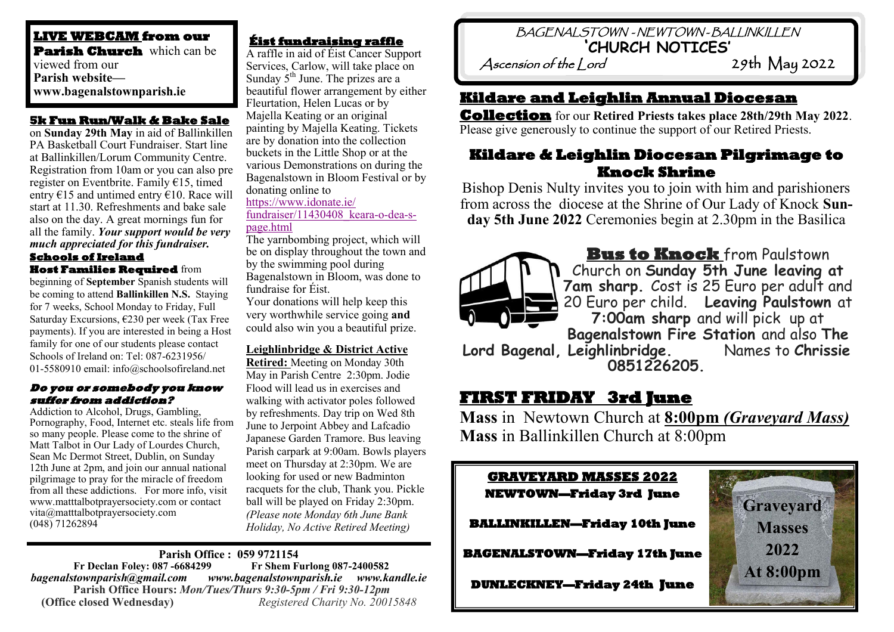**LIVE WEBCAM from our Parish Church** which can be viewed from our **Parish website www.bagenalstownparish.ie**

#### **5k Fun Run/Walk & Bake Sale**

on **Sunday 29th May** in aid of Ballinkillen PA Basketball Court Fundraiser. Start line at Ballinkillen/Lorum Community Centre. Registration from 10am or you can also pre register on Eventbrite. Family €15, timed entry  $\epsilon$ 15 and untimed entry  $\epsilon$ 10. Race will start at 11.30. Refreshments and bake sale also on the day. A great mornings fun for all the family. *Your support would be very much appreciated for this fundraiser.*

#### **Schools of Ireland Host Families Required** from

beginning of **September** Spanish students will be coming to attend **Ballinkillen N.S.** Staying for 7 weeks, School Monday to Friday, Full Saturday Excursions, €230 per week (Tax Free payments). If you are interested in being a Host family for one of our students please contact Schools of Ireland on: Tel: 087-6231956/ 01-5580910 email: info@schoolsofireland.net

#### **Do you or somebody you know suffer from addiction?**

Addiction to Alcohol, Drugs, Gambling, Pornography, Food, Internet etc. steals life from so many people. Please come to the shrine of Matt Talbot in Our Lady of Lourdes Church, Sean Mc Dermot Street, Dublin, on Sunday 12th June at 2pm, and join our annual national pilgrimage to pray for the miracle of freedom from all these addictions. For more info, visit www.matttalbotprayersociety.com or contact vita@matttalbotprayersociety.com (048) 71262894

#### **Éist fundraising raffle**

A raffle in aid of Éist Cancer Support Services, Carlow, will take place on Sunday  $5<sup>th</sup>$  June. The prizes are a beautiful flower arrangement by either Fleurtation, Helen Lucas or by Majella Keating or an original painting by Majella Keating. Tickets are by donation into the collection buckets in the Little Shop or at the various Demonstrations on during the Bagenalstown in Bloom Festival or by donating online to

#### [https://www.idonate.ie/](https://www.idonate.ie/fundraiser/11430408_keara-o-dea-s-page.html) [fundraiser/11430408\\_keara](https://www.idonate.ie/fundraiser/11430408_keara-o-dea-s-page.html)-o-dea-s-

[page.html](https://www.idonate.ie/fundraiser/11430408_keara-o-dea-s-page.html)

The yarnbombing project, which will be on display throughout the town and by the swimming pool during Bagenalstown in Bloom, was done to fundraise for Éist.

Your donations will help keep this very worthwhile service going **and** could also win you a beautiful prize.

#### **Leighlinbridge & District Active**

**Retired:** Meeting on Monday 30th May in Parish Centre 2:30pm. Jodie Flood will lead us in exercises and walking with activator poles followed by refreshments. Day trip on Wed 8th June to Jerpoint Abbey and Lafcadio Japanese Garden Tramore. Bus leaving Parish carpark at 9:00am. Bowls players meet on Thursday at 2:30pm. We are looking for used or new Badminton racquets for the club, Thank you. Pickle ball will be played on Friday 2:30pm. *(Please note Monday 6th June Bank Holiday, No Active Retired Meeting)*

#### **Parish Office : 059 9721154 Fr Declan Foley: 087 -6684299** *bagenalstownparish@gmail.com www.bagenalstownparish.ie www.kandle.ie* **Parish Office Hours:** *Mon/Tues/Thurs 9:30-5pm / Fri 9:30-12pm* **(Office closed Wednesday)** *Registered Charity No. 20015848*

# BAGENALSTOWN - NEWTOWN - BALLINKILLEN **'CHURCH NOTICES'**

Ascension of the lord

### **Kildare and Leighlin Annual Diocesan**

**Collection** for our **Retired Priests takes place 28th/29th May 2022**. Please give generously to continue the support of our Retired Priests.

## **Kildare & Leighlin Diocesan Pilgrimage to Knock Shrine**

Bishop Denis Nulty invites you to join with him and parishioners from across the diocese at the Shrine of Our Lady of Knock **Sunday 5th June 2022** Ceremonies begin at 2.30pm in the Basilica



**Bus to Knock** from Paulstown Church on **Sunday 5th June leaving at 7am sharp.** Cost is 25 Euro per adult and 20 Euro per child. **Leaving Paulstown** at **7:00am sharp** and will pick up at **Bagenalstown Fire Station** and also **The Lord Bagenal, Leighlinbridge.** Names to **Chrissie 0851226205.**

# **FIRST FRIDAY 3rd June**

**Mass** in Newtown Church at **8:00pm** *(Graveyard Mass)* **Mass** in Ballinkillen Church at 8:00pm